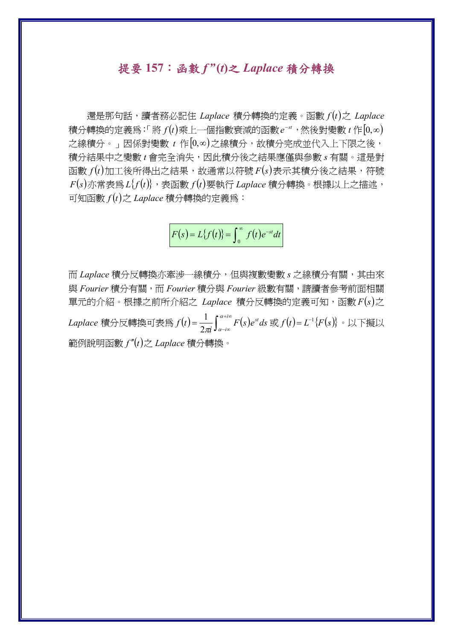## 提要 **157**:函數 *f "* **(***t***)**之 *Laplace* 積分轉換

 還是那句話,讀者務必記住 *Laplace* 積分轉換的定義。函數 *f t* 之 *Laplace*  $\hat{a}$  積分轉換的定義爲:「將 $f(t)$ 乘上一個指數衰減的函數 $e^{-st}$ ,然後對變數 $t$ 作 $[0,\infty)$ 之線積分。」因係對變數 t 作[0,∞)之線積分,故積分完成並代入上下限之後, 積分結果中之變數 *t* 會完全消失,因此積分後之結果應僅與參數 *s* 有關。這是對  $\Phi$ 數  $f(t)$ 加工後所得出之結果,故通常以符號  $F(s)$ 表示其積分後之結果,符號  $F(s)$ 亦常表爲 $L{f(t)}$ , 表函數 $f(t)$ 要執行 *Laplace* 積分轉換。根據以上之描述,  $\overline{\text{m}}$  *s*  $f(t)$ 之 *Laplace* 積分轉換的定義爲:

$$
F(s) = L{f(t)} = \int_0^\infty f(t)e^{-st}dt
$$

而 *Laplace* 積分反轉換亦牽涉一線積分,但與複數變數 *s* 之線積分有關,其由來 與 *Fourier* 積分有關,而 *Fourier* 積分與 *Fourier* 級數有關,請讀者參考前面相關 單元的介紹。根據之前所介紹之 Laplace 積分反轉換的定義可知,函數  $F(s)$ 之 *Laplace* 積分反轉換可表為 $f(t)$ = $\frac{1}{2\pi i} \int_{\alpha-i\infty}^{\alpha+i\infty} F(s)$  $f(t) = \frac{1}{2\pi i} \int_{\alpha - i\infty}^{\alpha + i\infty} F(s) e^{st} ds$  $\frac{1}{\sqrt{2}} \int_0^{a+i\infty} F(s) e^{st} ds$  或  $f(t) = L^{-1} \{ F(s) \}$ 。以下擬以 範例說明函數 *f t*之 *Laplace* 積分轉換。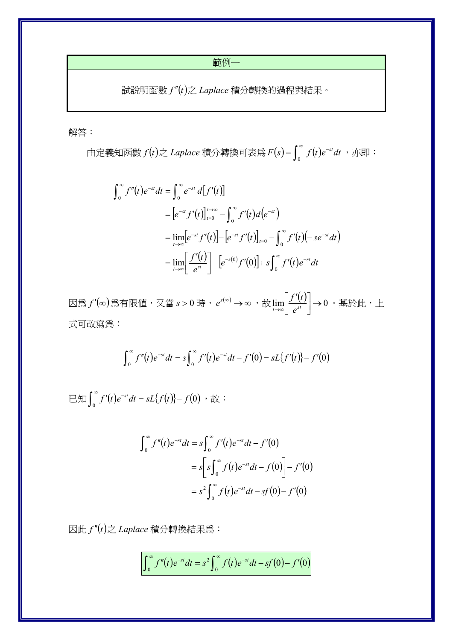範例一

 $\exists$ 說明函數 $f''(t)$ 之 $L$ aplace 積分轉換的過程與結果。

解答:

由定義知函數  $f(t)$ 之 Laplace 積分轉換可表為 $F(s)$ = $\int_0^\infty f(t)e^{-st}dt$  ,亦即:

$$
\int_0^{\infty} f''(t) e^{-st} dt = \int_0^{\infty} e^{-st} d[f'(t)]
$$
  
=  $[e^{-st} f'(t)]_{t=0}^{t\to\infty} - \int_0^{\infty} f'(t) d(e^{-st})$   
=  $\lim_{t\to\infty} [e^{-st} f'(t)] - [e^{-st} f'(t)]_{t=0} - \int_0^{\infty} f'(t) (-se^{-st} dt)$   
=  $\lim_{t\to\infty} \left[ \frac{f'(t)}{e^{st}} \right] - [e^{-s(0)} f'(0)] + s \int_0^{\infty} f'(t) e^{-st} dt$ 

因為 *<sup>f</sup>* 為有限值,又當 *<sup>s</sup>* <sup>0</sup> 時, *<sup>s</sup> <sup>e</sup>* ,故 lim <sup>0</sup>  $\lceil f' \rceil$  $\lim_{t\to\infty}$   $e^{st}$  $\left. \frac{f'(t)}{t} \right|$ →0。基於此,上 式可改寫為:

$$
\int_0^{\infty} f''(t)e^{-st}dt = s \int_0^{\infty} f'(t)e^{-st}dt - f'(0) = sL\{f'(t)\} - f'(0)
$$

 $\exists \text{Im} \int_0^{\infty} f'(t) e^{-st} dt = sL\{f(t)\} - f(0)$ ,  $\forall x$ :

$$
\int_0^{\infty} f''(t)e^{-st}dt = s \int_0^{\infty} f'(t)e^{-st}dt - f'(0)
$$
  
=  $s \left[ s \int_0^{\infty} f(t)e^{-st}dt - f(0) \right] - f'(0)$   
=  $s^2 \int_0^{\infty} f(t)e^{-st}dt - sf(0) - f'(0)$ 

 $\mathbb{E}[f'(t)]$ 之 *Laplace* 積分轉換結果爲:

$$
\int_0^{\infty} f''(t)e^{-st}dt = s^2 \int_0^{\infty} f(t)e^{-st}dt - sf(0) - f'(0)
$$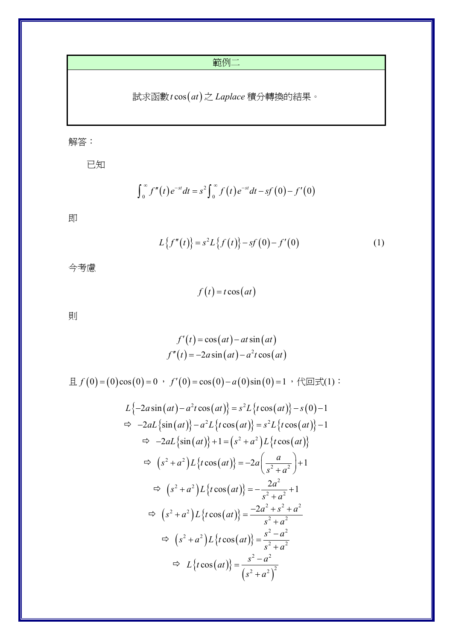範例二

試求函數*t* cos(at)之 Laplace 積分轉換的結果。

解答:

已知

$$
\int_0^{\infty} f''(t) e^{-st} dt = s^2 \int_0^{\infty} f(t) e^{-st} dt - s f(0) - f'(0)
$$

即

$$
L\{f''(t)\} = s^2 L\{f(t)\} - sf(0) - f'(0)
$$
 (1)

今考慮

 $f(t) = t \cos(at)$ 

則

$$
f'(t) = \cos(at) - at\sin(at)
$$
  

$$
f''(t) = -2a\sin(at) - a^2t\cos(at)
$$

且  $f(0) = (0)\cos(0) = 0$  ,  $f'(0) = \cos(0) - a(0)\sin(0) = 1$  , 代回式(1):

$$
L\{-2a\sin(at) - a^2t\cos(at)\} = s^2L\{t\cos(at)\} - s(0) - 1
$$
  
\n
$$
\Rightarrow -2aL\{\sin(at)\} - a^2L\{t\cos(at)\} = s^2L\{t\cos(at)\} - 1
$$
  
\n
$$
\Rightarrow -2aL\{\sin(at)\} + 1 = (s^2 + a^2)L\{t\cos(at)\}
$$
  
\n
$$
\Rightarrow (s^2 + a^2)L\{t\cos(at)\} = -2a\left(\frac{a}{s^2 + a^2}\right) + 1
$$
  
\n
$$
\Rightarrow (s^2 + a^2)L\{t\cos(at)\} = -\frac{2a^2}{s^2 + a^2} + 1
$$
  
\n
$$
\Rightarrow (s^2 + a^2)L\{t\cos(at)\} = \frac{-2a^2 + s^2 + a^2}{s^2 + a^2}
$$
  
\n
$$
\Rightarrow (s^2 + a^2)L\{t\cos(at)\} = \frac{s^2 - a^2}{s^2 + a^2}
$$
  
\n
$$
\Rightarrow L\{t\cos(at)\} = \frac{s^2 - a^2}{(s^2 + a^2)^2}
$$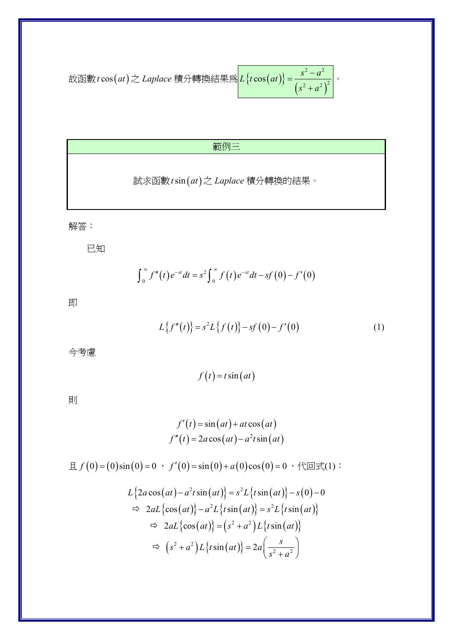\n
$$
\text{\n The image shows a function of the following matrices:\n  $\text{tr}(at) = \frac{s^2 - a^2}{(s^2 + a^2)^2}$ \n \]\n The equation is:\n  $\text{tr}(at) = \frac{s^2 - a^2}{(s^2 + a^2)^2}$ \n \]\n
$$

## 範例三

試求函數*t* sin(at)之 Laplace 積分轉換的結果。

解答:

已知

$$
\int_0^{\infty} f''(t) e^{-st} dt = s^2 \int_0^{\infty} f(t) e^{-st} dt - sf(0) - f'(0)
$$

即

$$
L\{f''(t)\}=s^2L\{f(t)\}-sf'(0)-f'(0)
$$
 (1)

今考慮

 $f(t) = t \sin(at)$ 

則

$$
f'(t) = \sin(at) + at \cos(at)
$$
  

$$
f''(t) = 2a \cos(at) - a^2t \sin(at)
$$

且  $f(0) = (0) \sin(0) = 0$  ,  $f'(0) = \sin(0) + a(0) \cos(0) = 0$  , 代回式(1):

$$
L\{2a\cos(at) - a^2t\sin(at)\} = s^2L\{t\sin(at)\} - s(0) - 0
$$
  
\n
$$
\Rightarrow 2aL\{\cos(at)\} - a^2L\{t\sin(at)\} = s^2L\{t\sin(at)\}
$$
  
\n
$$
\Rightarrow 2aL\{\cos(at)\} = (s^2 + a^2)L\{t\sin(at)\}
$$
  
\n
$$
\Rightarrow (s^2 + a^2)L\{t\sin(at)\} = 2a\left(\frac{s}{s^2 + a^2}\right)
$$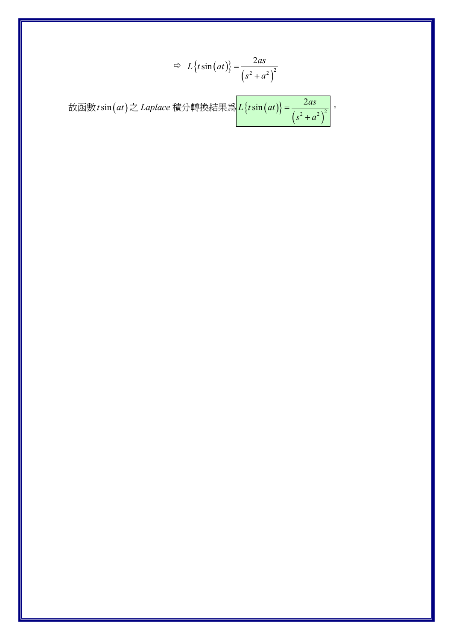$$
\Rightarrow L\{t\sin(at)\} = \frac{2as}{(s^2 + a^2)^2}
$$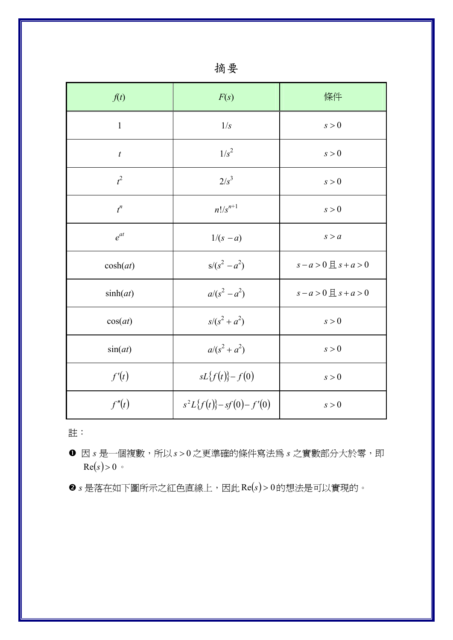| f(t)             | F(s)                     | 條件                             |
|------------------|--------------------------|--------------------------------|
| $\mathbf{1}$     | 1/s                      | s > 0                          |
| $\boldsymbol{t}$ | $1/s^2$                  | s > 0                          |
| $t^2$            | $2/s^3$                  | s > 0                          |
| $t^n$            | $n!/s^{n+1}$             | s > 0                          |
| $e^{at}$         | $1/(s - a)$              | s > a                          |
| cosh(at)         | $s/(s^2 - a^2)$          | $s - a > 0 \nexists s + a > 0$ |
| sinh(at)         | $a/(s^2 - a^2)$          | $s-a>0 \nleq s+a>0$            |
| cos(at)          | $s/(s^2 + a^2)$          | s > 0                          |
| sin(at)          | $a/(s^2 + a^2)$          | s > 0                          |
| f'(t)            | $sL{f(t)}-f(0)$          | s > 0                          |
| f''(t)           | $s^2L{f(t)}-sf(0)-f'(0)$ | s > 0                          |

註:

- **❶** 因 *s* 是一個複數,所以 *s* > 0 之更準確的條件寫法為 *s* 之實數部分大於零,即  $Re(s) > 0$
- **@** s 是落在如下圖所示之紅色直線上,因此Re(s)>0的想法是可以實現的。